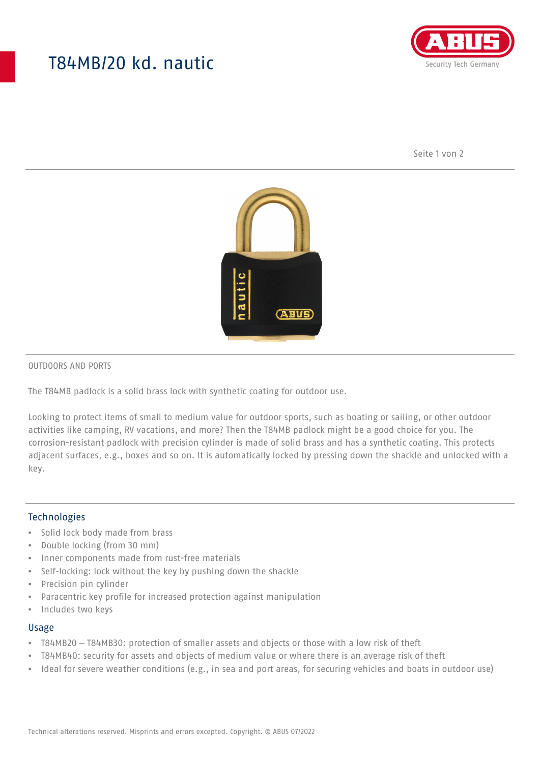## T84MB/20 kd. nautic



Seite 1 von 2



#### OUTDOORS AND PORTS

The T84MB padlock is a solid brass lock with synthetic coating for outdoor use.

Looking to protect items of small to medium value for outdoor sports, such as boating or sailing, or other outdoor activities like camping, RV vacations, and more? Then the T84MB padlock might be a good choice for you. The corrosion-resistant padlock with precision cylinder is made of solid brass and has a synthetic coating. This protects adjacent surfaces, e.g., boxes and so on. It is automatically locked by pressing down the shackle and unlocked with a key.

#### Technologies

- Solid lock body made from brass
- Double locking (from 30 mm)
- Inner components made from rust-free materials
- Self-locking: lock without the key by pushing down the shackle
- Precision pin cylinder
- Paracentric key profile for increased protection against manipulation
- Includes two keys

#### Usage

- T84MB20 T84MB30: protection of smaller assets and objects or those with a low risk of theft
- T84MB40: security for assets and objects of medium value or where there is an average risk of theft
- Ideal for severe weather conditions (e.g., in sea and port areas, for securing vehicles and boats in outdoor use)